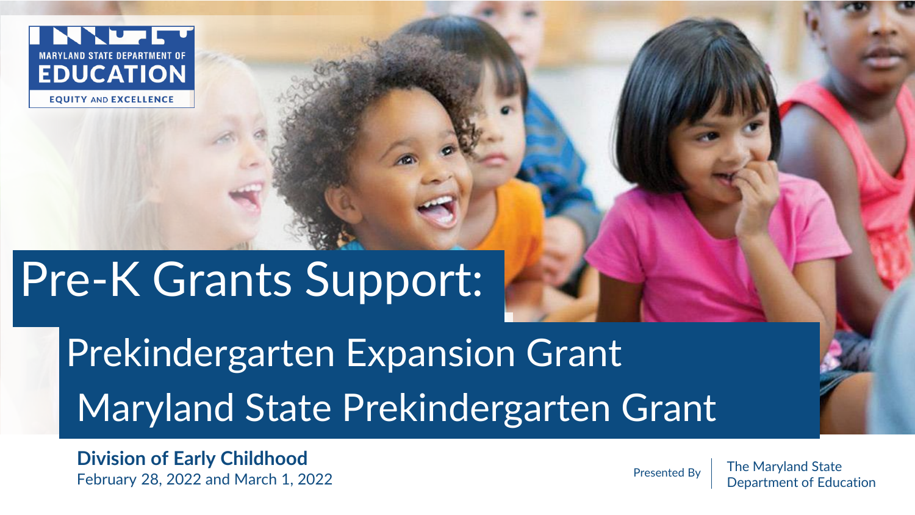

**EQUITY AND EXCELLENCE** 

# Pre-K Grants Support:

Prekindergarten Expansion Grant Maryland State Prekindergarten Grant

**Division of Early Childhood** February 28, 2022 and March 1, 2022

Presented By  $\parallel$  The Maryland State Department of Education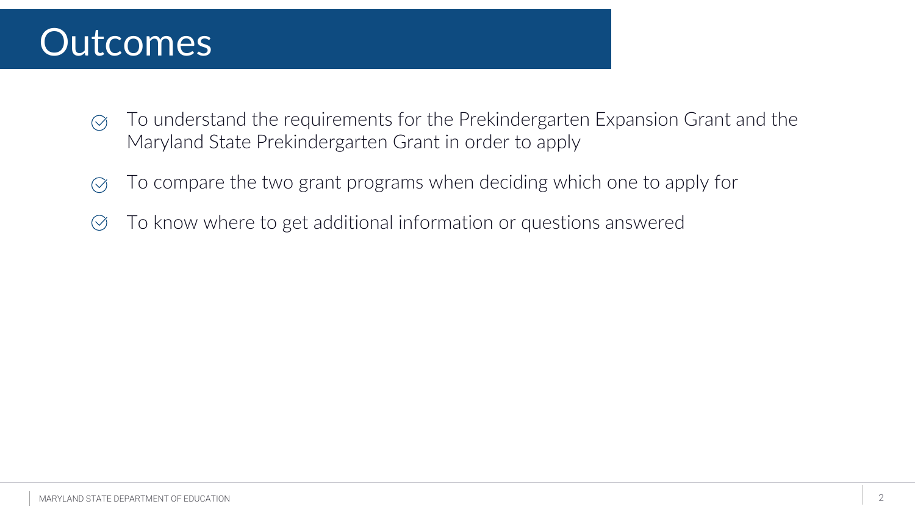#### **Outcomes**

- To understand the requirements for the Prekindergarten Expansion Grant and the  $\oslash$ Maryland State Prekindergarten Grant in order to apply
- To compare the two grant programs when deciding which one to apply for  $\bigcirc$
- To know where to get additional information or questions answered $\left(\checkmark\right)$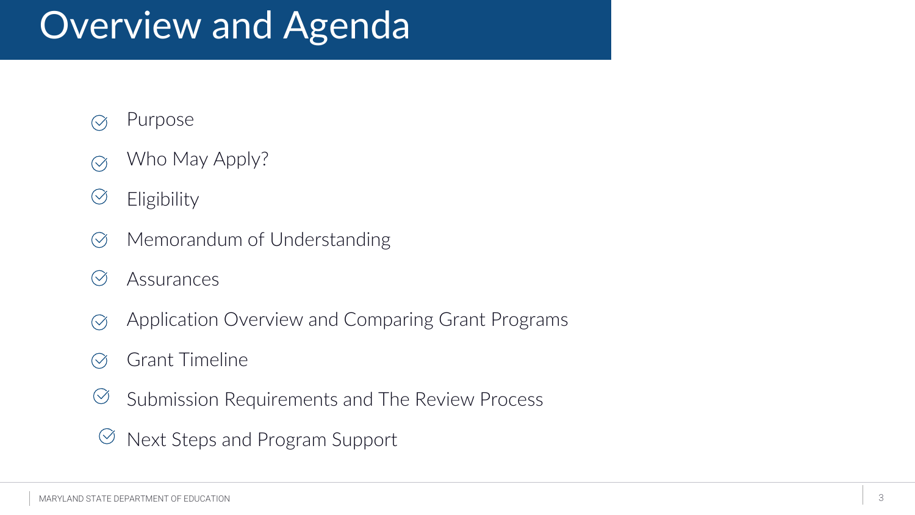## Overview and Agenda

- Purpose  $\bigcirc$
- Who May Apply?  $\bigcirc$
- $\bigcirc$ Eligibility
- Memorandum of Understanding  $\circledcirc$
- $\bigcirc$ Assurances
- Application Overview and Comparing Grant Programs  $\oslash$
- Grant Timeline  $\bigcirc$
- Submission Requirements and The Review Process  $\bigcirc$
- Next Steps and Program Support $\bigcirc$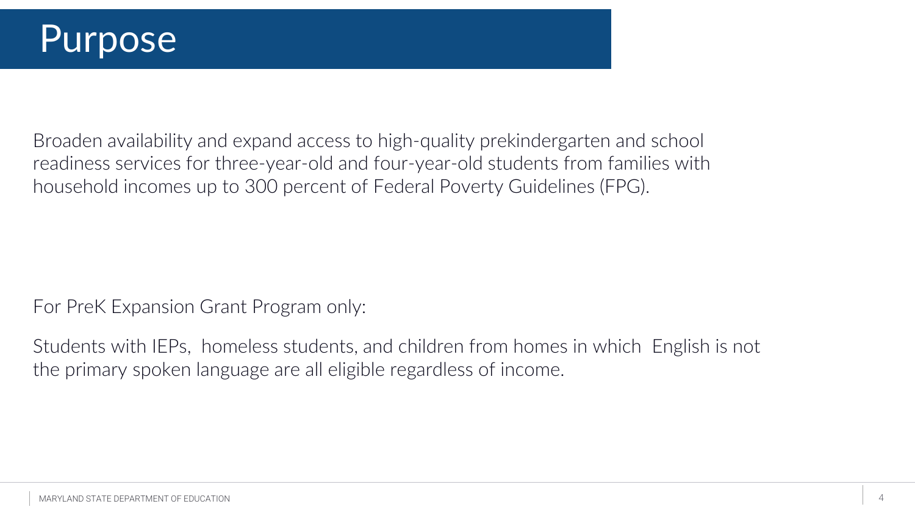Broaden availability and expand access to high-quality prekindergarten and school readiness services for three-year-old and four-year-old students from families with household incomes up to 300 percent of Federal Poverty Guidelines (FPG).

For PreK Expansion Grant Program only:

Students with IEPs, homeless students, and children from homes in which English is not the primary spoken language are all eligible regardless of income.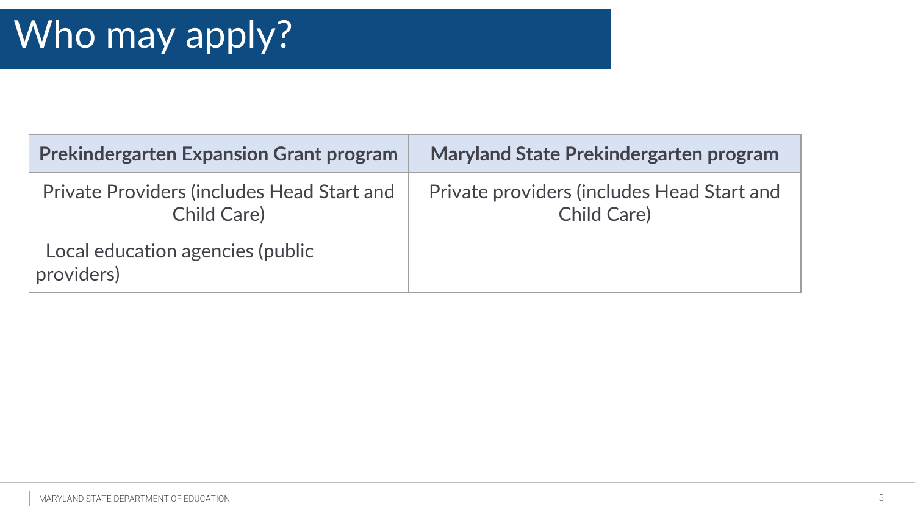| <b>Prekindergarten Expansion Grant program</b>                          | <b>Maryland State Prekindergarten program</b>                    |
|-------------------------------------------------------------------------|------------------------------------------------------------------|
| <b>Private Providers (includes Head Start and</b><br><b>Child Care)</b> | Private providers (includes Head Start and<br><b>Child Care)</b> |
| Local education agencies (public<br>providers)                          |                                                                  |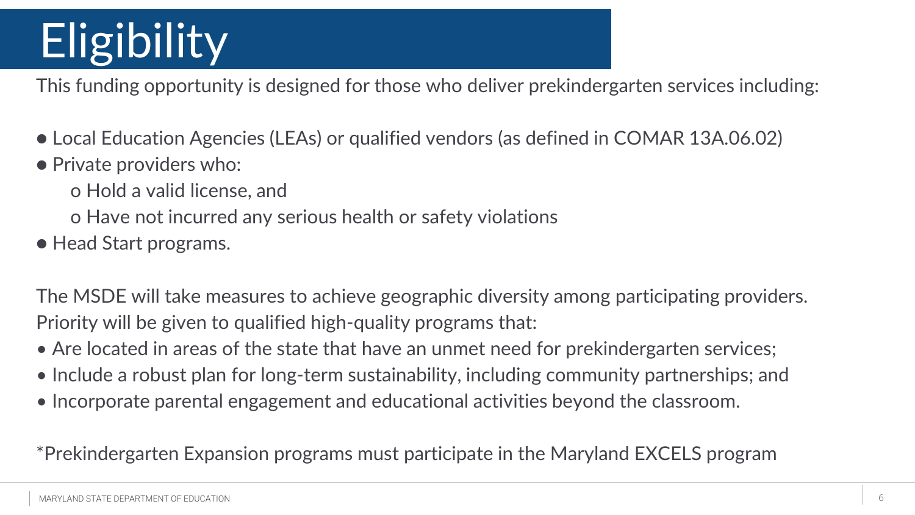# **Eligibility**

This funding opportunity is designed for those who deliver prekindergarten services including:

- Local Education Agencies (LEAs) or qualified vendors (as defined in COMAR 13A.06.02)
- Private providers who:
	- o Hold a valid license, and
	- o Have not incurred any serious health or safety violations
- Head Start programs.

The MSDE will take measures to achieve geographic diversity among participating providers. Priority will be given to qualified high-quality programs that:

- Are located in areas of the state that have an unmet need for prekindergarten services;
- Include a robust plan for long-term sustainability, including community partnerships; and
- Incorporate parental engagement and educational activities beyond the classroom.

\*Prekindergarten Expansion programs must participate in the Maryland EXCELS program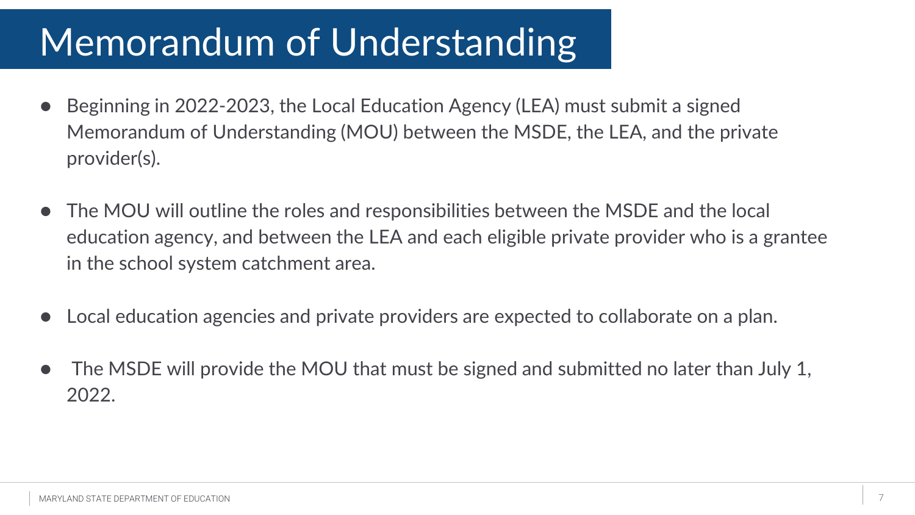## Memorandum of Understanding

- Beginning in 2022-2023, the Local Education Agency (LEA) must submit a signed Memorandum of Understanding (MOU) between the MSDE, the LEA, and the private provider(s).
- The MOU will outline the roles and responsibilities between the MSDE and the local education agency, and between the LEA and each eligible private provider who is a grantee in the school system catchment area.
- Local education agencies and private providers are expected to collaborate on a plan.
- The MSDE will provide the MOU that must be signed and submitted no later than July 1, 2022.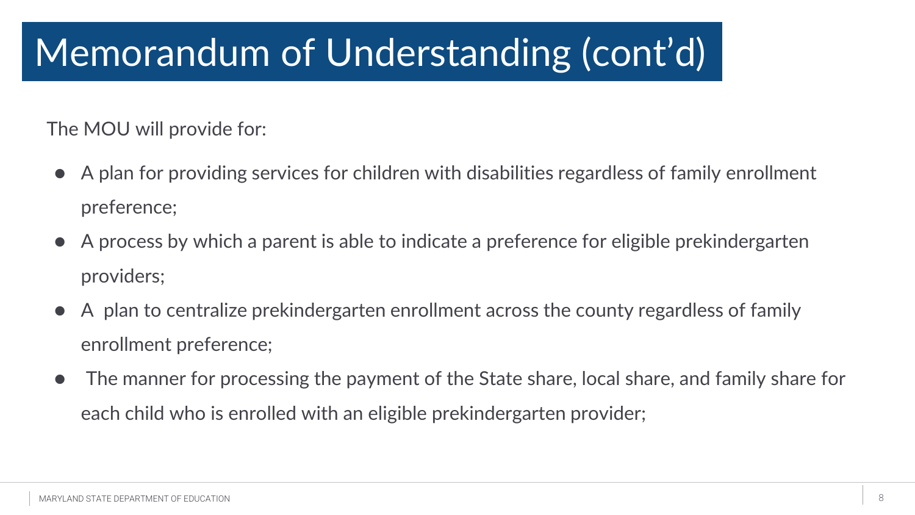## Memorandum of Understanding (cont'd)

The MOU will provide for:

- A plan for providing services for children with disabilities regardless of family enrollment preference;
- A process by which a parent is able to indicate a preference for eligible prekindergarten providers;
- A plan to centralize prekindergarten enrollment across the county regardless of family enrollment preference;
- The manner for processing the payment of the State share, local share, and family share for each child who is enrolled with an eligible prekindergarten provider;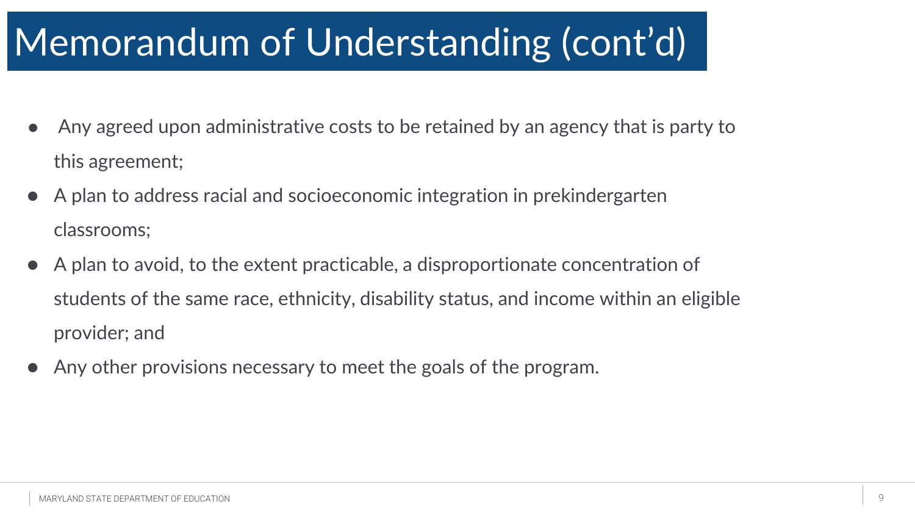## Memorandum of Understanding Memorandum of Understanding (cont'd)

- Any agreed upon administrative costs to be retained by an agency that is party to this agreement;
- A plan to address racial and socioeconomic integration in prekindergarten classrooms;
- A plan to avoid, to the extent practicable, a disproportionate concentration of students of the same race, ethnicity, disability status, and income within an eligible provider; and
- Any other provisions necessary to meet the goals of the program.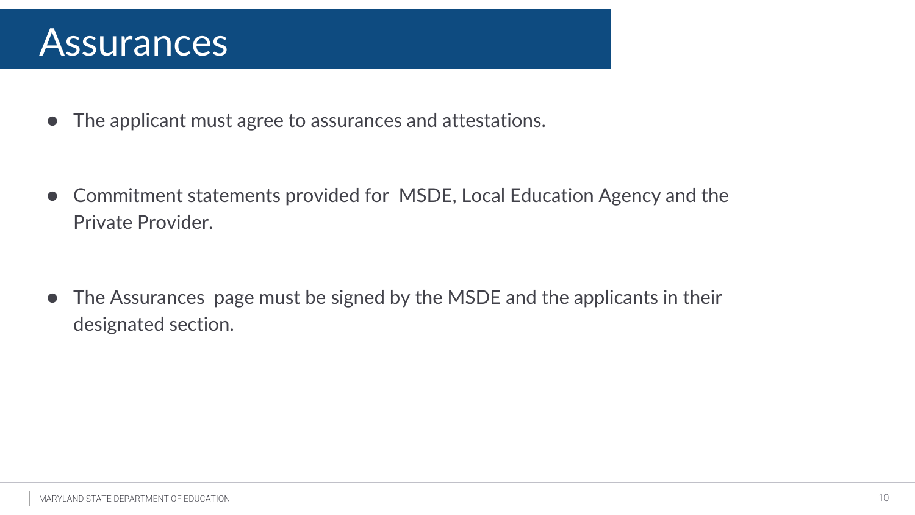#### **Assurances**

● The applicant must agree to assurances and attestations.

● Commitment statements provided for MSDE, Local Education Agency and the Private Provider.

• The Assurances page must be signed by the MSDE and the applicants in their designated section.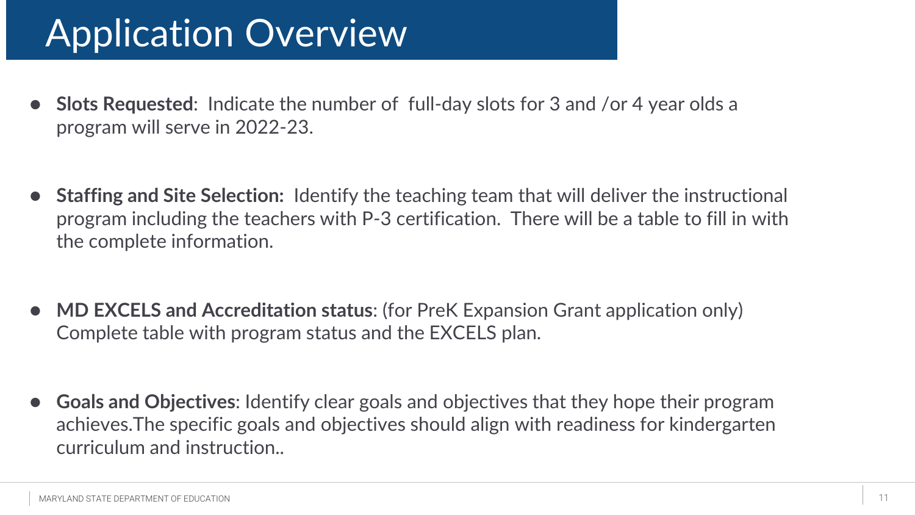## Application Overview

- **Slots Requested**: Indicate the number of full-day slots for 3 and /or 4 year olds a program will serve in 2022-23.
- **Staffing and Site Selection:** Identify the teaching team that will deliver the instructional program including the teachers with P-3 certification. There will be a table to fill in with the complete information.
- **MD EXCELS and Accreditation status:** (for PreK Expansion Grant application only) Complete table with program status and the EXCELS plan.
- **Goals and Objectives**: Identify clear goals and objectives that they hope their program achieves.The specific goals and objectives should align with readiness for kindergarten curriculum and instruction..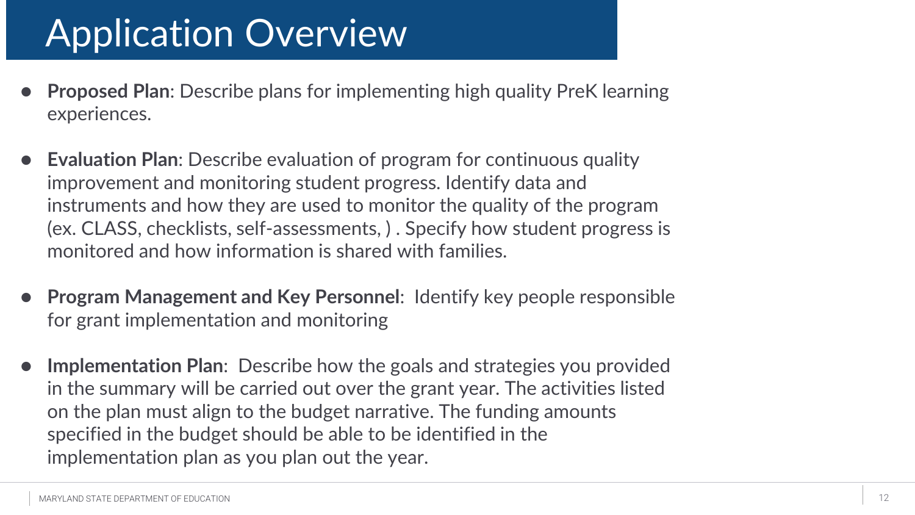## Application Overview

- **Proposed Plan:** Describe plans for implementing high quality PreK learning experiences.
- **Evaluation Plan:** Describe evaluation of program for continuous quality improvement and monitoring student progress. Identify data and instruments and how they are used to monitor the quality of the program (ex. CLASS, checklists, self-assessments, ) . Specify how student progress is monitored and how information is shared with families.
- **Program Management and Key Personnel: Identify key people responsible** for grant implementation and monitoring
- **Implementation Plan:** Describe how the goals and strategies you provided in the summary will be carried out over the grant year. The activities listed on the plan must align to the budget narrative. The funding amounts specified in the budget should be able to be identified in the implementation plan as you plan out the year.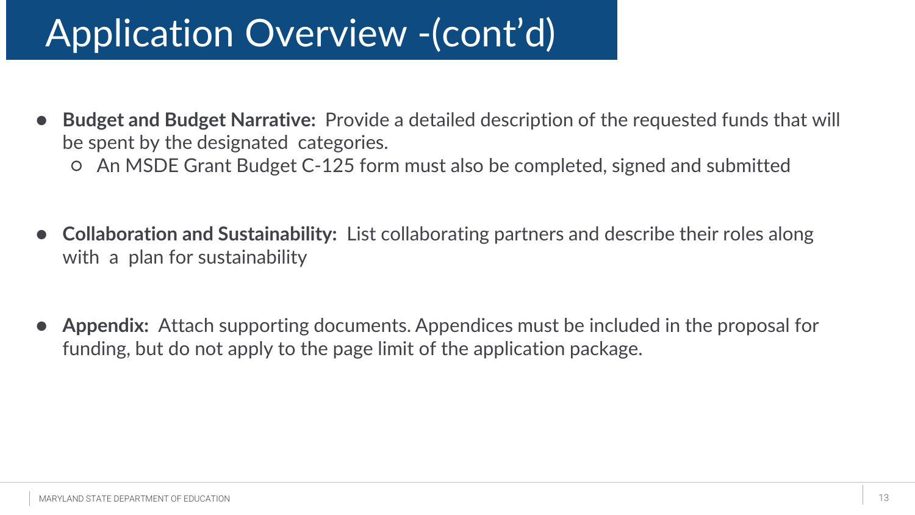## Application Overview -(cont'd)

- **Budget and Budget Narrative:** Provide a detailed description of the requested funds that will be spent by the designated categories.
	- An MSDE Grant Budget C-125 form must also be completed, signed and submitted
- **Collaboration and Sustainability:** List collaborating partners and describe their roles along with a plan for sustainability
- **Appendix:** Attach supporting documents. Appendices must be included in the proposal for funding, but do not apply to the page limit of the application package.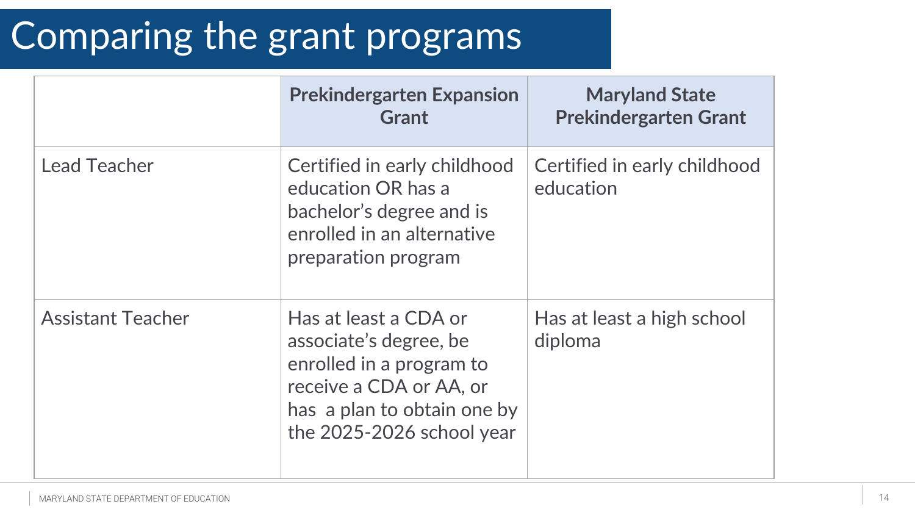#### Comparing the grant programs

|                          | <b>Prekindergarten Expansion</b><br><b>Grant</b>                                                                                                                   | <b>Maryland State</b><br><b>Prekindergarten Grant</b> |
|--------------------------|--------------------------------------------------------------------------------------------------------------------------------------------------------------------|-------------------------------------------------------|
| <b>Lead Teacher</b>      | Certified in early childhood<br>education OR has a<br>bachelor's degree and is<br>enrolled in an alternative<br>preparation program                                | Certified in early childhood<br>education             |
| <b>Assistant Teacher</b> | Has at least a CDA or<br>associate's degree, be<br>enrolled in a program to<br>receive a CDA or AA, or<br>has a plan to obtain one by<br>the 2025-2026 school year | Has at least a high school<br>diploma                 |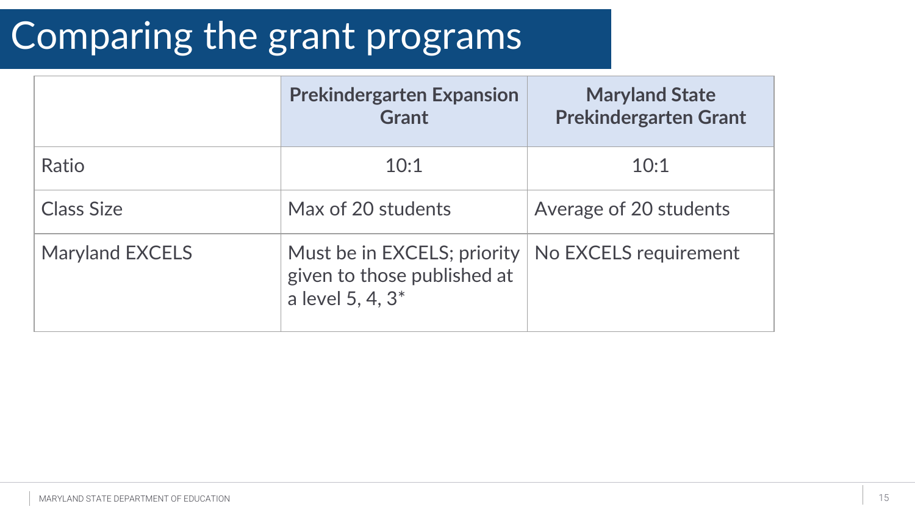#### Comparing the grant programs

|                        | <b>Prekindergarten Expansion</b><br><b>Grant</b>                                           | <b>Maryland State</b><br><b>Prekindergarten Grant</b> |
|------------------------|--------------------------------------------------------------------------------------------|-------------------------------------------------------|
| Ratio                  | 10:1                                                                                       | 10:1                                                  |
| <b>Class Size</b>      | Max of 20 students                                                                         | Average of 20 students                                |
| <b>Maryland EXCELS</b> | Must be in EXCELS; priority<br>given to those published at<br>a level 5, 4, 3 <sup>*</sup> | No EXCELS requirement                                 |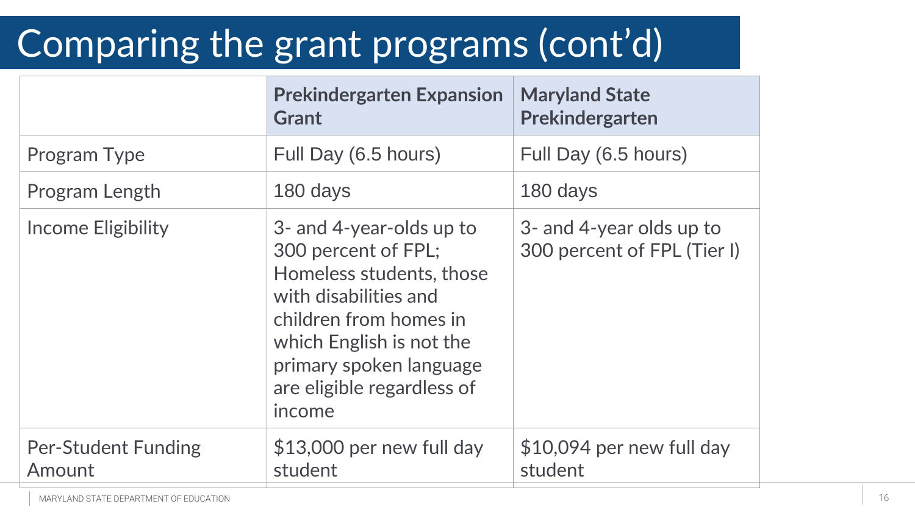## Comparing the grant programs (cont'd)

|                                      | <b>Prekindergarten Expansion</b><br>Grant                                                                                                                                                                                     | <b>Maryland State</b><br>Prekindergarten                |
|--------------------------------------|-------------------------------------------------------------------------------------------------------------------------------------------------------------------------------------------------------------------------------|---------------------------------------------------------|
| Program Type                         | Full Day (6.5 hours)                                                                                                                                                                                                          | Full Day (6.5 hours)                                    |
| Program Length                       | 180 days                                                                                                                                                                                                                      | 180 days                                                |
| Income Eligibility                   | 3- and 4-year-olds up to<br>300 percent of FPL;<br>Homeless students, those<br>with disabilities and<br>children from homes in<br>which English is not the<br>primary spoken language<br>are eligible regardless of<br>income | 3- and 4-year olds up to<br>300 percent of FPL (Tier I) |
| <b>Per-Student Funding</b><br>Amount | $$13,000$ per new full day<br>student                                                                                                                                                                                         | $$10,094$ per new full day<br>student                   |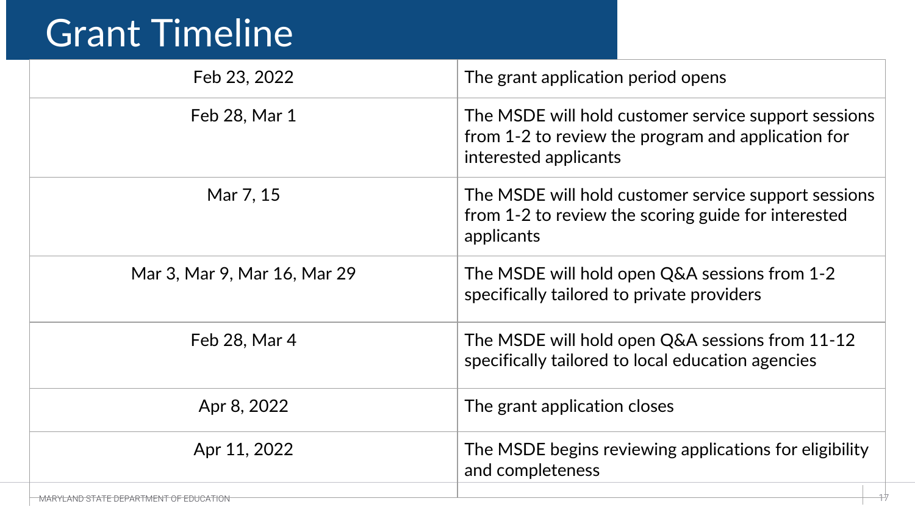## Grant Timeline

| Feb 23, 2022                           | The grant application period opens                                                                                                  |
|----------------------------------------|-------------------------------------------------------------------------------------------------------------------------------------|
| Feb 28, Mar 1                          | The MSDE will hold customer service support sessions<br>from 1-2 to review the program and application for<br>interested applicants |
| Mar 7, 15                              | The MSDE will hold customer service support sessions<br>from 1-2 to review the scoring guide for interested<br>applicants           |
| Mar 3, Mar 9, Mar 16, Mar 29           | The MSDE will hold open Q&A sessions from 1-2<br>specifically tailored to private providers                                         |
| Feb 28, Mar 4                          | The MSDE will hold open Q&A sessions from 11-12<br>specifically tailored to local education agencies                                |
| Apr 8, 2022                            | The grant application closes                                                                                                        |
| Apr 11, 2022                           | The MSDE begins reviewing applications for eligibility<br>and completeness                                                          |
| MARYLAND STATE DEPARTMENT OF EDUCATION |                                                                                                                                     |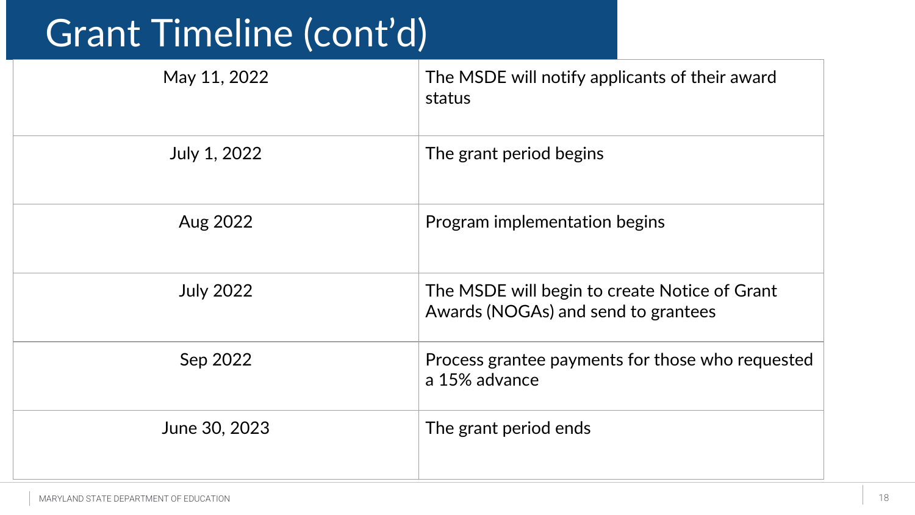## Grant Timeline (cont'd)

| May 11, 2022     | The MSDE will notify applicants of their award<br>status                             |
|------------------|--------------------------------------------------------------------------------------|
| July 1, 2022     | The grant period begins                                                              |
| Aug 2022         | Program implementation begins                                                        |
| <b>July 2022</b> | The MSDE will begin to create Notice of Grant<br>Awards (NOGAs) and send to grantees |
| Sep 2022         | Process grantee payments for those who requested<br>a 15% advance                    |
| June 30, 2023    | The grant period ends                                                                |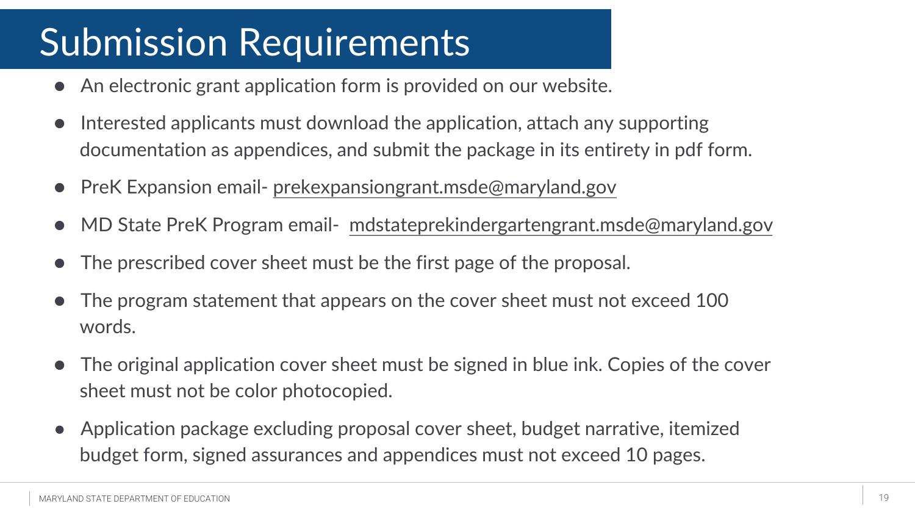## Submission Requirements

- An electronic grant application form is provided on our website.
- Interested applicants must download the application, attach any supporting documentation as appendices, and submit the package in its entirety in pdf form.
- PreK Expansion email- [prekexpansiongrant.msde@maryland.gov](mailto:prekexpansiongrant.msde@maryland.gov)
- MD State PreK Program email- [mdstateprekindergartengrant.msde@maryland.gov](mailto:mdstateprekindergartengrant.msde@maryland.gov)
- The prescribed cover sheet must be the first page of the proposal.
- The program statement that appears on the cover sheet must not exceed 100 words.
- The original application cover sheet must be signed in blue ink. Copies of the cover sheet must not be color photocopied.
- Application package excluding proposal cover sheet, budget narrative, itemized budget form, signed assurances and appendices must not exceed 10 pages.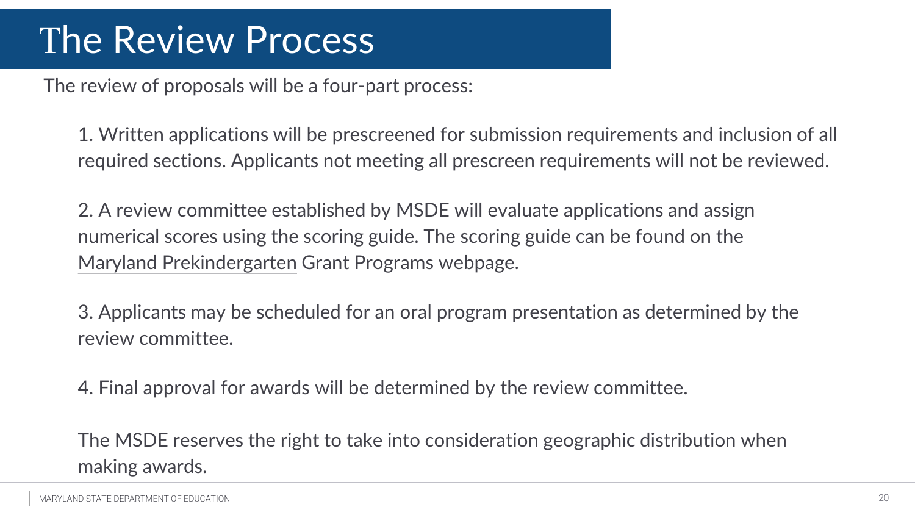#### The Review Process

The review of proposals will be a four-part process:

1. Written applications will be prescreened for submission requirements and inclusion of all required sections. Applicants not meeting all prescreen requirements will not be reviewed.

2. A review committee established by MSDE will evaluate applications and assign numerical scores using the scoring guide. The scoring guide can be found on the [Maryland Prekindergarten](https://earlychildhood.marylandpublicschools.org/maryland-prek-grant-programs) Grant Programs webpage.

3. Applicants may be scheduled for an oral program presentation as determined by the review committee.

4. Final approval for awards will be determined by the review committee.

The MSDE reserves the right to take into consideration geographic distribution when making awards.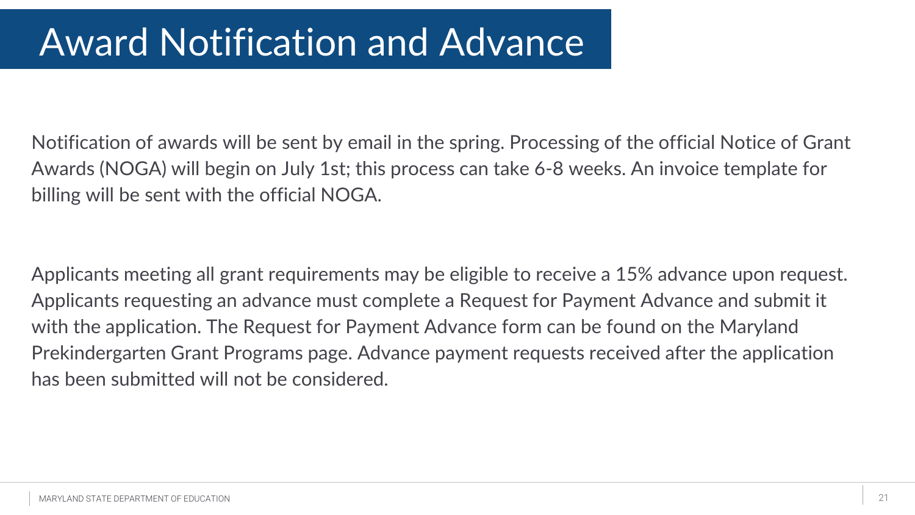## Award Notification and Advance

Notification of awards will be sent by email in the spring. Processing of the official Notice of Grant Awards (NOGA) will begin on July 1st; this process can take 6-8 weeks. An invoice template for billing will be sent with the official NOGA.

Applicants meeting all grant requirements may be eligible to receive a 15% advance upon request. Applicants requesting an advance must complete a Request for Payment Advance and submit it with the application. The Request for Payment Advance form can be found on the Maryland Prekindergarten Grant Programs page. Advance payment requests received after the application has been submitted will not be considered.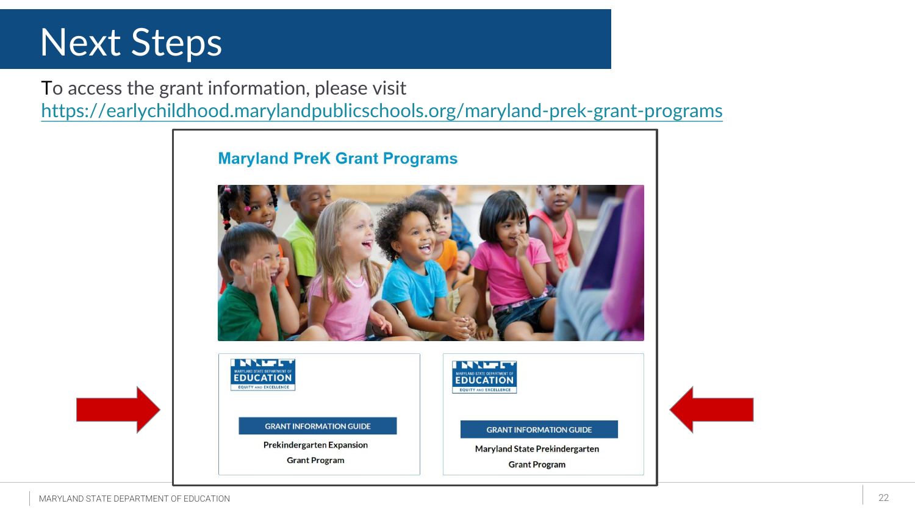#### Next Steps

To access the grant information, please visit <https://earlychildhood.marylandpublicschools.org/maryland-prek-grant-programs>

**GRANT INFORMATION GUIDE** 

**Prekindergarten Expansion** 

**Grant Program** 

**Maryland PreK Grant Programs INVER INVER EDUCATION EDUCATION FOUITY AND EXCELLENC NUITY AND EXCELLENCE** 

**GRANT INFORMATION GUIDE** 

**Maryland State Prekindergarten** 

**Grant Program**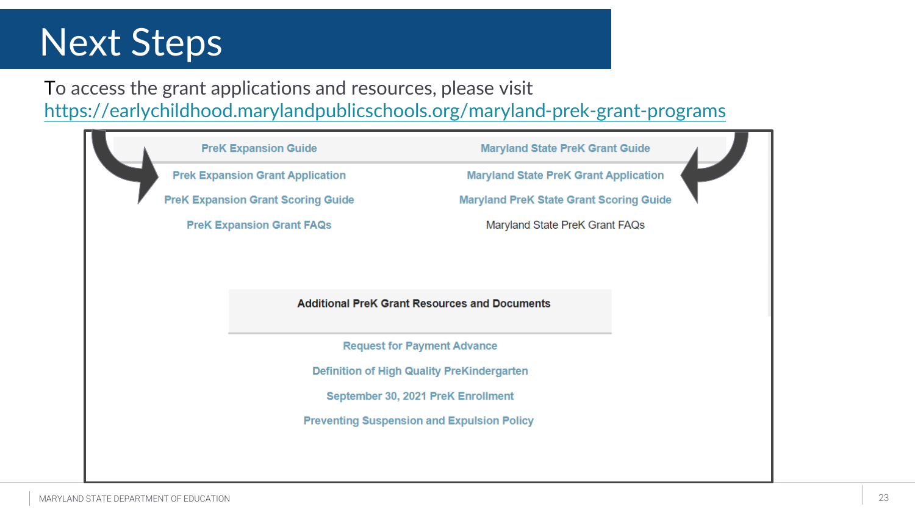#### Next Steps

To access the grant applications and resources, please visit <https://earlychildhood.marylandpublicschools.org/maryland-prek-grant-programs>

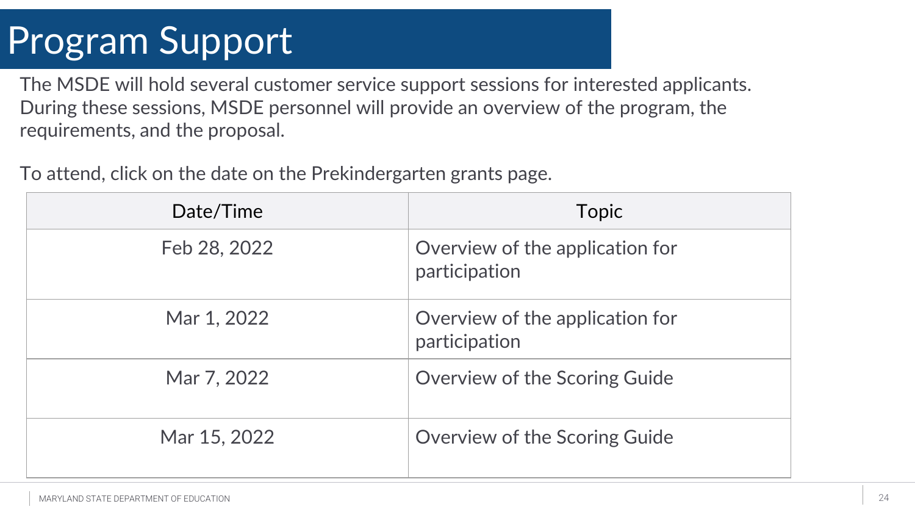## Program Support

The MSDE will hold several customer service support sessions for interested applicants. During these sessions, MSDE personnel will provide an overview of the program, the requirements, and the proposal.

| Date/Time    | Topic                                            |
|--------------|--------------------------------------------------|
| Feb 28, 2022 | Overview of the application for<br>participation |
| Mar 1, 2022  | Overview of the application for<br>participation |
| Mar 7, 2022  | <b>Overview of the Scoring Guide</b>             |
| Mar 15, 2022 | <b>Overview of the Scoring Guide</b>             |

To attend, click on the date on the Prekindergarten grants page.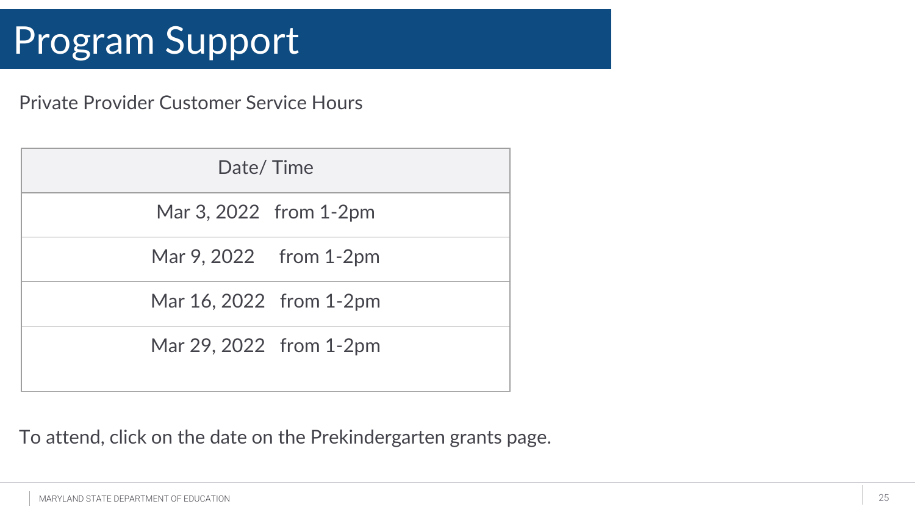### Program Support

Private Provider Customer Service Hours

| Date/Time               |
|-------------------------|
| Mar 3, 2022 from 1-2pm  |
| Mar 9, 2022 from 1-2pm  |
| Mar 16, 2022 from 1-2pm |
| Mar 29, 2022 from 1-2pm |

To attend, click on the date on the Prekindergarten grants page.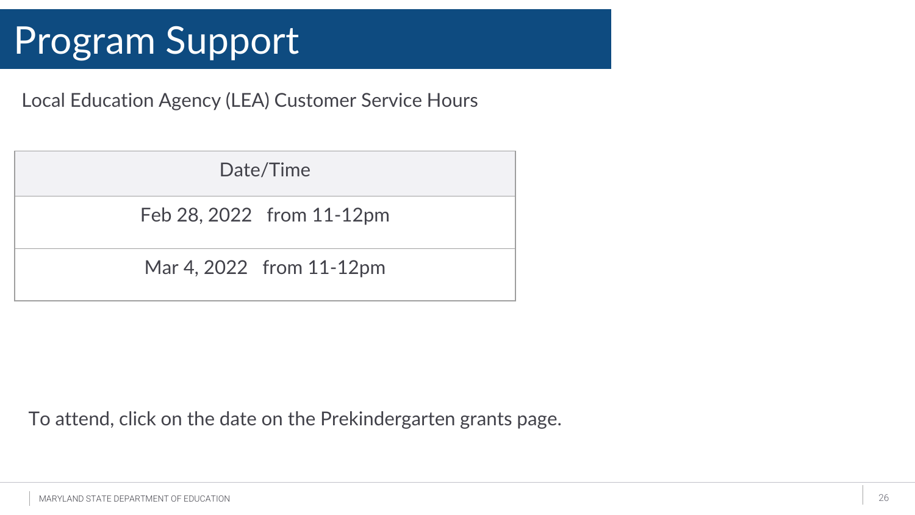#### Program Support

Local Education Agency (LEA) Customer Service Hours

| Date/Time                 |
|---------------------------|
| Feb 28, 2022 from 11-12pm |
| Mar 4, 2022 from 11-12pm  |

To attend, click on the date on the Prekindergarten grants page.